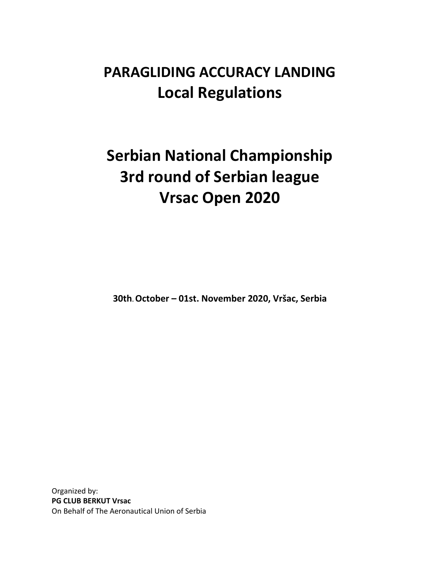## **PARAGLIDING ACCURACY LANDING Local Regulations**

# **Serbian National Championship 3rd round of Serbian league Vrsac Open 2020**

**30th.October – 01st. November 2020, Vršac, Serbia**

Organized by: **PG CLUB BERKUT Vrsac**  On Behalf of The Aeronautical Union of Serbia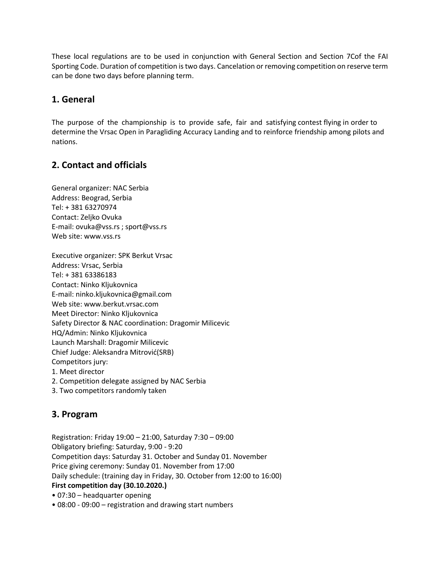These local regulations are to be used in conjunction with General Section and Section 7Cof the FAI Sporting Code. Duration of competition is two days. Cancelation or removing competition on reserve term can be done two days before planning term.

## **1. General**

The purpose of the championship is to provide safe, fair and satisfying contest flying in order to determine the Vrsac Open in Paragliding Accuracy Landing and to reinforce friendship among pilots and nations.

## **2. Contact and officials**

General organizer: NAC Serbia Address: Beograd, Serbia Tel: + 381 63270974 Contact: Zeljko Ovuka E-mail: ovuka@vss.rs ; sport@vss.rs Web site: www.vss.rs

Executive organizer: SPK Berkut Vrsac Address: Vrsac, Serbia Tel: + 381 63386183 Contact: Ninko Kljukovnica E-mail: ninko.kljukovnica@gmail.com Web site: www.berkut.vrsac.com Meet Director: Ninko Kljukovnica Safety Director & NAC coordination: Dragomir Milicevic HQ/Admin: Ninko Kljukovnica Launch Marshall: Dragomir Milicevic Chief Judge: Aleksandra Mitrović(SRB) Competitors jury:

- 1. Meet director
- 2. Competition delegate assigned by NAC Serbia
- 3. Two competitors randomly taken

## **3. Program**

Registration: Friday 19:00 – 21:00, Saturday 7:30 – 09:00 Obligatory briefing: Saturday, 9:00 - 9:20 Competition days: Saturday 31. October and Sunday 01. November Price giving ceremony: Sunday 01. November from 17:00 Daily schedule: (training day in Friday, 30. October from 12:00 to 16:00) **First competition day (30.10.2020.)**  • 07:30 – headquarter opening

• 08:00 - 09:00 – registration and drawing start numbers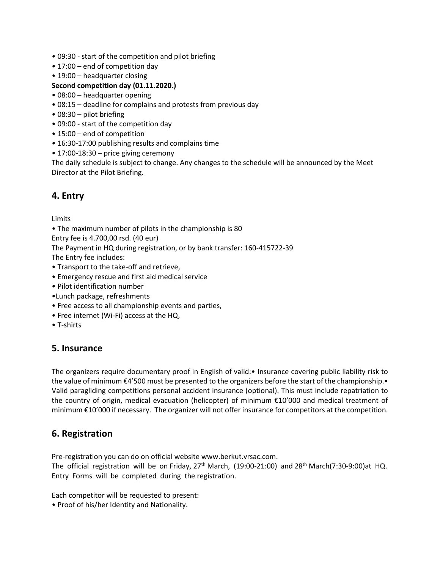- 09:30 start of the competition and pilot briefing
- 17:00 end of competition day
- 19:00 headquarter closing

#### **Second competition day (01.11.2020.)**

- 08:00 headquarter opening
- 08:15 deadline for complains and protests from previous day
- 08:30 pilot briefing
- 09:00 start of the competition day
- 15:00 end of competition
- 16:30-17:00 publishing results and complains time
- 17:00-18:30 price giving ceremony

The daily schedule is subject to change. Any changes to the schedule will be announced by the Meet Director at the Pilot Briefing.

## **4. Entry**

Limits

• The maximum number of pilots in the championship is 80 Entry fee is 4.700,00 rsd. (40 eur)

The Payment in HQ during registration, or by bank transfer: 160-415722-39

The Entry fee includes:

- Transport to the take-off and retrieve,
- Emergency rescue and first aid medical service
- Pilot identification number
- •Lunch package, refreshments
- Free access to all championship events and parties,
- Free internet (Wi-Fi) access at the HQ,
- T-shirts

## **5. Insurance**

The organizers require documentary proof in English of valid:• Insurance covering public liability risk to the value of minimum €4'500 must be presented to the organizers before the start of the championship.• Valid paragliding competitions personal accident insurance (optional). This must include repatriation to the country of origin, medical evacuation (helicopter) of minimum €10'000 and medical treatment of minimum €10'000 if necessary. The organizer will not offer insurance for competitors at the competition.

## **6. Registration**

Pre-registration you can do on official website www.berkut.vrsac.com.

The official registration will be on Friday, 27<sup>th</sup> March, (19:00-21:00) and 28<sup>th</sup> March(7:30-9:00)at HQ. Entry Forms will be completed during the registration.

Each competitor will be requested to present:

• Proof of his/her Identity and Nationality.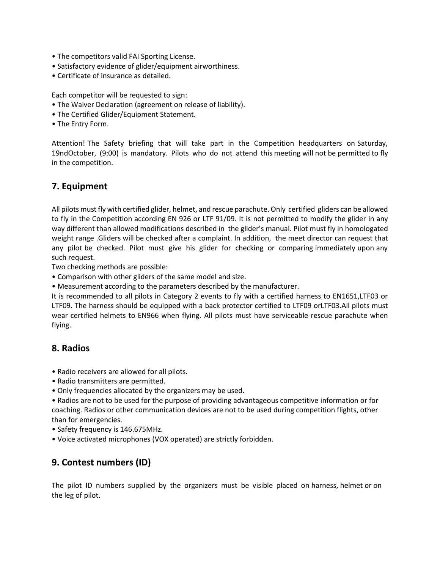- The competitors valid FAI Sporting License.
- Satisfactory evidence of glider/equipment airworthiness.
- Certificate of insurance as detailed.

Each competitor will be requested to sign:

- The Waiver Declaration (agreement on release of liability).
- The Certified Glider/Equipment Statement.
- The Entry Form.

Attention! The Safety briefing that will take part in the Competition headquarters on Saturday, 19ndOctober, (9:00) is mandatory. Pilots who do not attend this meeting will not be permitted to fly in the competition.

#### **7. Equipment**

All pilots must fly with certified glider, helmet, and rescue parachute. Only certified gliders can be allowed to fly in the Competition according EN 926 or LTF 91/09. It is not permitted to modify the glider in any way different than allowed modifications described in the glider's manual. Pilot must fly in homologated weight range .Gliders will be checked after a complaint. In addition, the meet director can request that any pilot be checked. Pilot must give his glider for checking or comparing immediately upon any such request.

Two checking methods are possible:

- Comparison with other gliders of the same model and size.
- Measurement according to the parameters described by the manufacturer.

It is recommended to all pilots in Category 2 events to fly with a certified harness to EN1651,LTF03 or LTF09. The harness should be equipped with a back protector certified to LTF09 orLTF03.All pilots must wear certified helmets to EN966 when flying. All pilots must have serviceable rescue parachute when flying.

#### **8. Radios**

- Radio receivers are allowed for all pilots.
- Radio transmitters are permitted.
- Only frequencies allocated by the organizers may be used.

• Radios are not to be used for the purpose of providing advantageous competitive information or for coaching. Radios or other communication devices are not to be used during competition flights, other than for emergencies.

- Safety frequency is 146.675MHz.
- Voice activated microphones (VOX operated) are strictly forbidden.

## **9. Contest numbers (ID)**

The pilot ID numbers supplied by the organizers must be visible placed on harness, helmet or on the leg of pilot.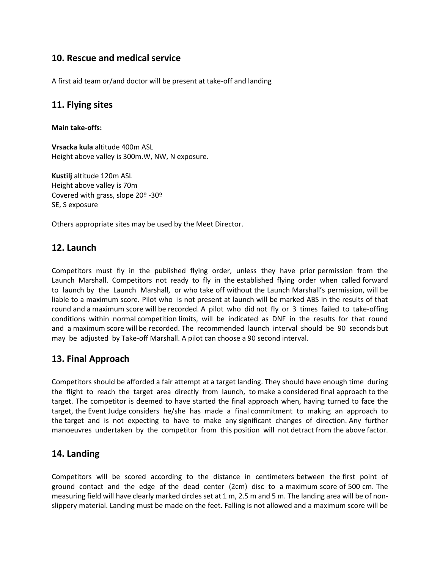## **10. Rescue and medical service**

A first aid team or/and doctor will be present at take-off and landing

#### **11. Flying sites**

**Main take-offs:**

**Vrsacka kula** altitude 400m ASL Height above valley is 300m.W, NW, N exposure.

**Kustilj** altitude 120m ASL Height above valley is 70m Covered with grass, slope 20º -30º SE, S exposure

Others appropriate sites may be used by the Meet Director.

#### **12. Launch**

Competitors must fly in the published flying order, unless they have prior permission from the Launch Marshall. Competitors not ready to fly in the established flying order when called forward to launch by the Launch Marshall, or who take off without the Launch Marshall's permission, will be liable to a maximum score. Pilot who is not present at launch will be marked ABS in the results of that round and a maximum score will be recorded. A pilot who did not fly or 3 times failed to take-offing conditions within normal competition limits, will be indicated as DNF in the results for that round and a maximum score will be recorded. The recommended launch interval should be 90 seconds but may be adjusted by Take-off Marshall. A pilot can choose a 90 second interval.

#### **13. Final Approach**

Competitors should be afforded a fair attempt at a target landing. They should have enough time during the flight to reach the target area directly from launch, to make a considered final approach to the target. The competitor is deemed to have started the final approach when, having turned to face the target, the Event Judge considers he/she has made a final commitment to making an approach to the target and is not expecting to have to make any significant changes of direction. Any further manoeuvres undertaken by the competitor from this position will not detract from the above factor.

#### **14. Landing**

Competitors will be scored according to the distance in centimeters between the first point of ground contact and the edge of the dead center (2cm) disc to a maximum score of 500 cm. The measuring field will have clearly marked circles set at 1 m, 2.5 m and 5 m. The landing area will be of nonslippery material. Landing must be made on the feet. Falling is not allowed and a maximum score will be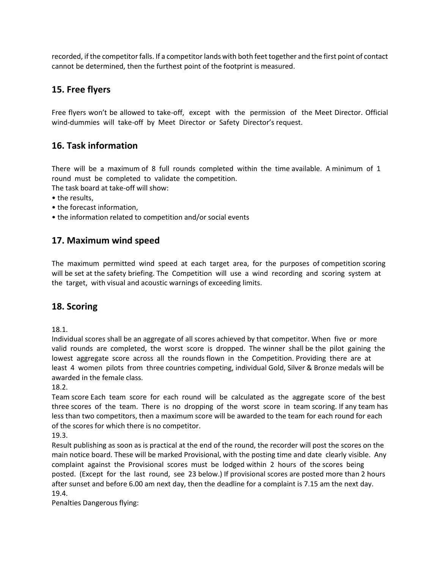recorded, if the competitor falls. If a competitor lands with both feet together and the first point of contact cannot be determined, then the furthest point of the footprint is measured.

## **15. Free flyers**

Free flyers won't be allowed to take-off, except with the permission of the Meet Director. Official wind-dummies will take-off by Meet Director or Safety Director's request.

#### **16. Task information**

There will be a maximum of 8 full rounds completed within the time available. A minimum of 1 round must be completed to validate the competition.

- The task board at take-off will show:
- the results,
- the forecast information,
- the information related to competition and/or social events

#### **17. Maximum wind speed**

The maximum permitted wind speed at each target area, for the purposes of competition scoring will be set at the safety briefing. The Competition will use a wind recording and scoring system at the target, with visual and acoustic warnings of exceeding limits.

#### **18. Scoring**

18.1.

Individual scores shall be an aggregate of all scores achieved by that competitor. When five or more valid rounds are completed, the worst score is dropped. The winner shall be the pilot gaining the lowest aggregate score across all the rounds flown in the Competition. Providing there are at least 4 women pilots from three countries competing, individual Gold, Silver & Bronze medals will be awarded in the female class.

18.2.

Team score Each team score for each round will be calculated as the aggregate score of the best three scores of the team. There is no dropping of the worst score in team scoring. If any team has less than two competitors, then a maximum score will be awarded to the team for each round for each of the scores for which there is no competitor.

19.3.

Result publishing as soon as is practical at the end of the round, the recorder will post the scores on the main notice board. These will be marked Provisional, with the posting time and date clearly visible. Any complaint against the Provisional scores must be lodged within 2 hours of the scores being posted. (Except for the last round, see 23 below.) If provisional scores are posted more than 2 hours after sunset and before 6.00 am next day, then the deadline for a complaint is 7.15 am the next day. 19.4.

Penalties Dangerous flying: